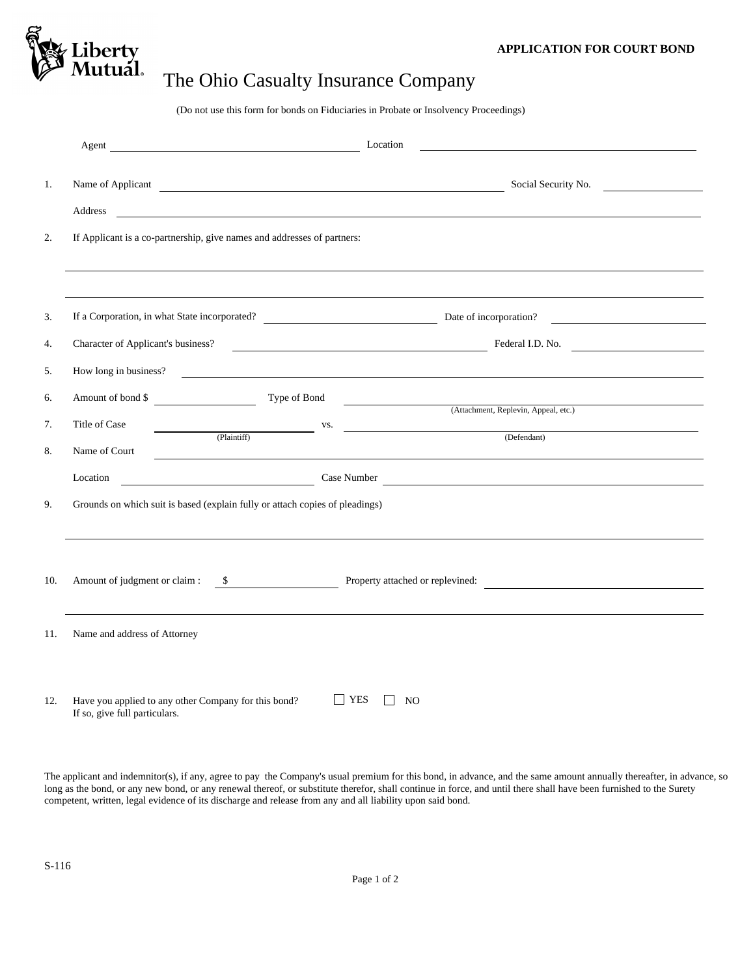

## The Ohio Casualty Insurance Company

(Do not use this form for bonds on Fiduciaries in Probate or Insolvency Proceedings)

| 1.  | Address                                                                      | <u> 1989 - Johann Stein, marwolaethau a bhann an t-Amhainn an t-Amhainn an t-Amhainn an t-Amhainn an t-Amhainn an </u> |                                           | Social Security No.                                    |  |
|-----|------------------------------------------------------------------------------|------------------------------------------------------------------------------------------------------------------------|-------------------------------------------|--------------------------------------------------------|--|
| 2.  |                                                                              | If Applicant is a co-partnership, give names and addresses of partners:                                                |                                           |                                                        |  |
| 3.  |                                                                              |                                                                                                                        |                                           |                                                        |  |
| 4.  |                                                                              |                                                                                                                        |                                           | Character of Applicant's business?<br>Tederal I.D. No. |  |
| 5.  |                                                                              | How long in business?                                                                                                  |                                           |                                                        |  |
| 6.  | Amount of bond \$                                                            |                                                                                                                        |                                           | Type of Bond<br>(Attachment, Replevin, Appeal, etc.)   |  |
| 7.  | Title of Case                                                                | VS. (Plaintiff) VS. (Defendant)                                                                                        |                                           |                                                        |  |
| 8.  | Name of Court                                                                |                                                                                                                        |                                           |                                                        |  |
|     | Location                                                                     |                                                                                                                        |                                           |                                                        |  |
| 9.  | Grounds on which suit is based (explain fully or attach copies of pleadings) |                                                                                                                        |                                           |                                                        |  |
| 10. |                                                                              |                                                                                                                        |                                           |                                                        |  |
| 11. | Name and address of Attorney                                                 |                                                                                                                        |                                           |                                                        |  |
| 12. | If so, give full particulars.                                                | Have you applied to any other Company for this bond?                                                                   | $ $ YES<br>N <sub>O</sub><br>$\mathsf{L}$ |                                                        |  |

The applicant and indemnitor(s), if any, agree to pay the Company's usual premium for this bond, in advance, and the same amount annually thereafter, in advance, so long as the bond, or any new bond, or any renewal thereof, or substitute therefor, shall continue in force, and until there shall have been furnished to the Surety competent, written, legal evidence of its discharge and release from any and all liability upon said bond.